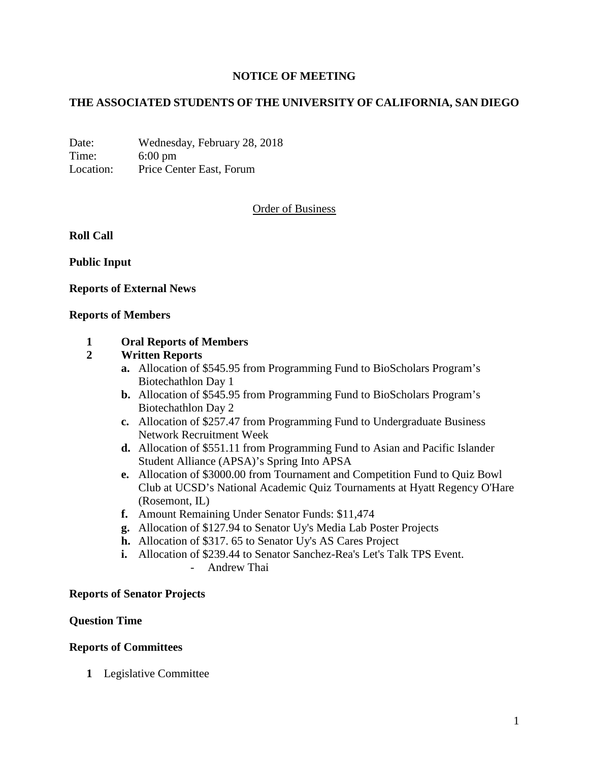## **NOTICE OF MEETING**

## **THE ASSOCIATED STUDENTS OF THE UNIVERSITY OF CALIFORNIA, SAN DIEGO**

Date: Wednesday, February 28, 2018 Time: 6:00 pm Location: Price Center East, Forum

### Order of Business

**Roll Call**

**Public Input**

**Reports of External News**

#### **Reports of Members**

### **1 Oral Reports of Members**

### **2 Written Reports**

- **a.** Allocation of \$545.95 from Programming Fund to BioScholars Program's Biotechathlon Day 1
- **b.** Allocation of \$545.95 from Programming Fund to BioScholars Program's Biotechathlon Day 2
- **c.** Allocation of \$257.47 from Programming Fund to Undergraduate Business Network Recruitment Week
- **d.** Allocation of \$551.11 from Programming Fund to Asian and Pacific Islander Student Alliance (APSA)'s Spring Into APSA
- **e.** Allocation of \$3000.00 from Tournament and Competition Fund to Quiz Bowl Club at UCSD's National Academic Quiz Tournaments at Hyatt Regency O'Hare (Rosemont, IL)
- **f.** Amount Remaining Under Senator Funds: \$11,474
- **g.** Allocation of \$127.94 to Senator Uy's Media Lab Poster Projects
- **h.** Allocation of \$317. 65 to Senator Uy's AS Cares Project
- **i.** Allocation of \$239.44 to Senator Sanchez-Rea's Let's Talk TPS Event.
	- Andrew Thai

#### **Reports of Senator Projects**

#### **Question Time**

#### **Reports of Committees**

**1** Legislative Committee